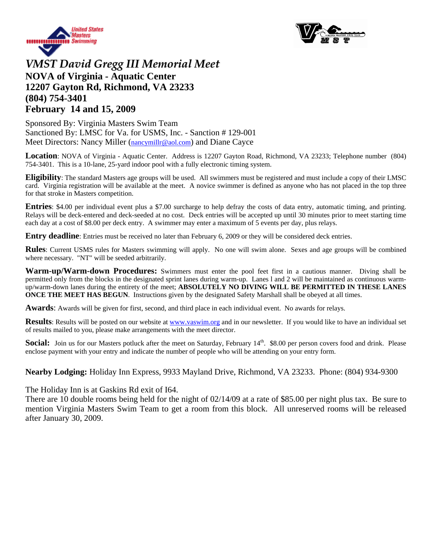



## *VMST David Gregg III Memorial Meet* **NOVA of Virginia - Aquatic Center 12207 Gayton Rd, Richmond, VA 23233 (804) 754-3401 February 14 and 15, 2009**

Sponsored By: Virginia Masters Swim Team Sanctioned By: LMSC for Va. for USMS, Inc. - Sanction # 129-001 Meet Directors: Nancy Miller ([nancymillr@aol.com\)](mailto:nancymillr@aol.com) and Diane Cayce

**Location**: NOVA of Virginia - Aquatic Center. Address is 12207 Gayton Road, Richmond, VA 23233; Telephone number (804) 754-3401. This is a 10-lane, 25-yard indoor pool with a fully electronic timing system.

**Eligibility**: The standard Masters age groups will be used. All swimmers must be registered and must include a copy of their LMSC card. Virginia registration will be available at the meet. A novice swimmer is defined as anyone who has not placed in the top three for that stroke in Masters competition.

**Entries**: \$4.00 per individual event plus a \$7.00 surcharge to help defray the costs of data entry, automatic timing, and printing. Relays will be deck-entered and deck-seeded at no cost. Deck entries will be accepted up until 30 minutes prior to meet starting time each day at a cost of \$8.00 per deck entry. A swimmer may enter a maximum of 5 events per day, plus relays.

**Entry deadline**: Entries must be received no later than February 6, 2009 or they will be considered deck entries.

**Rules**: Current USMS rules for Masters swimming will apply. No one will swim alone. Sexes and age groups will be combined where necessary. "NT" will be seeded arbitrarily.

**Warm-up/Warm-down Procedures:** Swimmers must enter the pool feet first in a cautious manner. Diving shall be permitted only from the blocks in the designated sprint lanes during warm-up. Lanes l and 2 will be maintained as continuous warmup/warm-down lanes during the entirety of the meet; **ABSOLUTELY NO DIVING WILL BE PERMITTED IN THESE LANES ONCE THE MEET HAS BEGUN.** Instructions given by the designated Safety Marshall shall be obeyed at all times.

**Awards**: Awards will be given for first, second, and third place in each individual event. No awards for relays.

**Results**: Results will be posted on our website at <u>www.vaswim.org</u> and in our newsletter. If you would like to have an individual set of results mailed to you, please make arrangements with the meet director.

**Social:** Join us for our Masters potluck after the meet on Saturday, February 14<sup>th</sup>. \$8.00 per person covers food and drink. Please enclose payment with your entry and indicate the number of people who will be attending on your entry form.

**Nearby Lodging:** Holiday Inn Express, 9933 Mayland Drive, Richmond, VA 23233. Phone: (804) 934-9300

The Holiday Inn is at Gaskins Rd exit of I64.

There are 10 double rooms being held for the night of 02/14/09 at a rate of \$85.00 per night plus tax. Be sure to mention Virginia Masters Swim Team to get a room from this block. All unreserved rooms will be released after January 30, 2009.